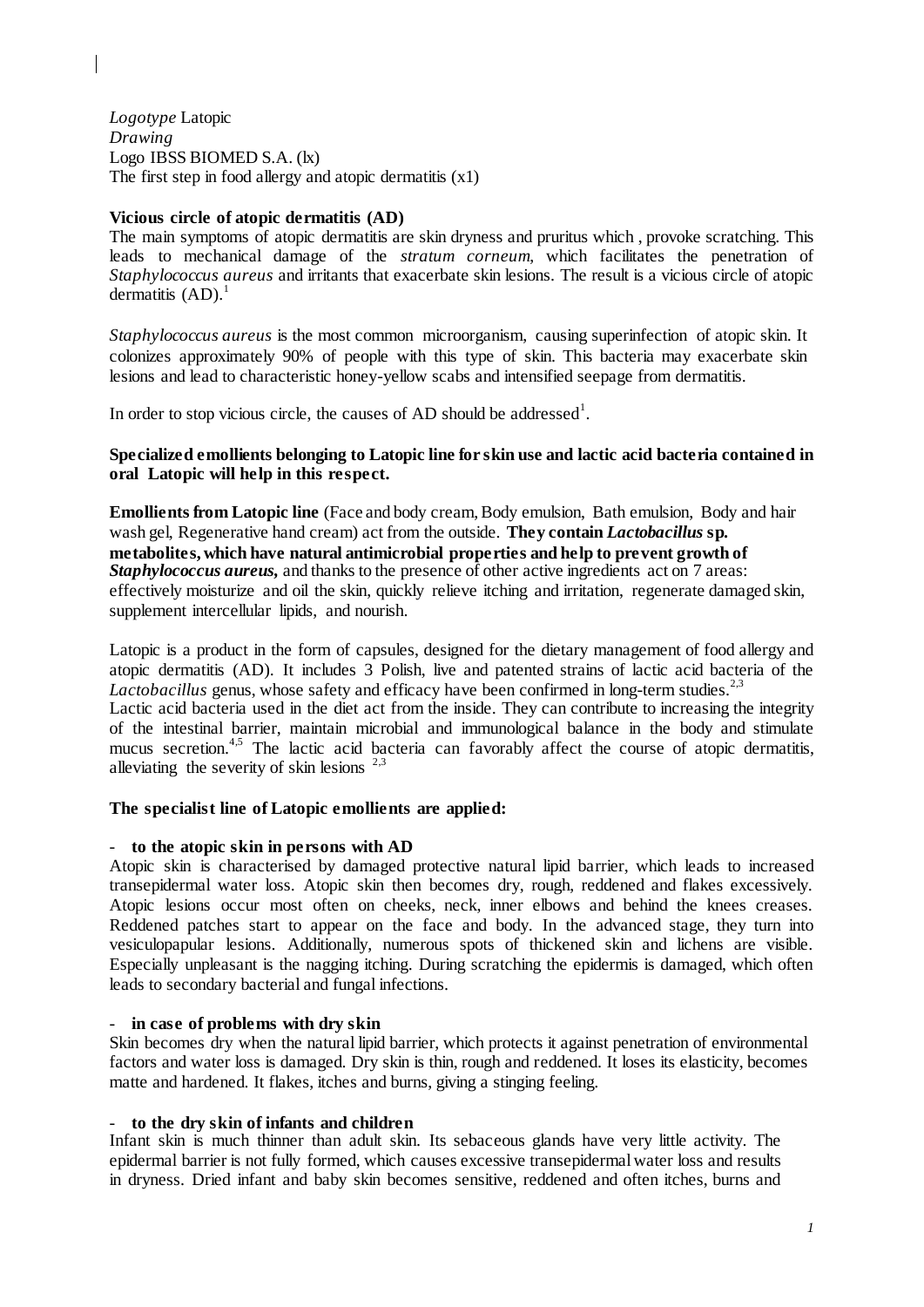*Logotype* Latopic *Drawing*  Logo IBSS BIOMED S.A. (lx) The first step in food allergy and atopic dermatitis  $(x1)$ 

## **Vicious circle of atopic dermatitis (AD)**

The main symptoms of atopic dermatitis are skin dryness and pruritus which , provoke scratching. This leads to mechanical damage of the *stratum corneum*, which facilitates the penetration of *Staphylococcus aureus* and irritants that exacerbate skin lesions. The result is a vicious circle of atopic dermatitis  $(AD)$ .<sup>1</sup>

*Staphylococcus aureus* is the most common microorganism, causing superinfection of atopic skin. It colonizes approximately 90% of people with this type of skin. This bacteria may exacerbate skin lesions and lead to characteristic honey-yellow scabs and intensified seepage from dermatitis.

In order to stop vicious circle, the causes of AD should be addressed<sup>1</sup>.

# **Specialized emollients belonging to Latopic line for skin use and lactic acid bacteria contained in oral Latopic will help in this respect.**

**Emollients from Latopic line** (Face and body cream, Body emulsion, Bath emulsion, Body and hair wash gel, Regenerative hand cream) act from the outside. **They contain** *Lactobacillus* **sp***.*  **metabolites, which have natural antimicrobial properties and help to prevent growth of**  *Staphylococcus aureus,* and thanks to the presence of other active ingredients act on 7 areas: effectively moisturize and oil the skin, quickly relieve itching and irritation, regenerate damaged skin, supplement intercellular lipids, and nourish.

Latopic is a product in the form of capsules, designed for the dietary management of food allergy and atopic dermatitis (AD). It includes 3 Polish, live and patented strains of lactic acid bacteria of the Lactobacillus genus, whose safety and efficacy have been confirmed in long-term studies.<sup>2,3</sup> Lactic acid bacteria used in the diet act from the inside. They can contribute to increasing the integrity of the intestinal barrier, maintain microbial and immunological balance in the body and stimulate mucus secretion.<sup>4,5</sup> The lactic acid bacteria can favorably affect the course of atopic dermatitis, alleviating the severity of skin lesions  $2.3$ 

## **The specialist line of Latopic emollients are applied:**

## - **to the atopic skin in persons with AD**

Atopic skin is characterised by damaged protective natural lipid barrier, which leads to increased transepidermal water loss. Atopic skin then becomes dry, rough, reddened and flakes excessively. Atopic lesions occur most often on cheeks, neck, inner elbows and behind the knees creases. Reddened patches start to appear on the face and body. In the advanced stage, they turn into vesiculopapular lesions. Additionally, numerous spots of thickened skin and lichens are visible. Especially unpleasant is the nagging itching. During scratching the epidermis is damaged, which often leads to secondary bacterial and fungal infections.

## - **in case of problems with dry skin**

Skin becomes dry when the natural lipid barrier, which protects it against penetration of environmental factors and water loss is damaged. Dry skin is thin, rough and reddened. It loses its elasticity, becomes matte and hardened. It flakes, itches and burns, giving a stinging feeling.

## - **to the dry skin of infants and children**

Infant skin is much thinner than adult skin. Its sebaceous glands have very little activity. The epidermal barrier is not fully formed, which causes excessive transepidermal water loss and results in dryness. Dried infant and baby skin becomes sensitive, reddened and often itches, burns and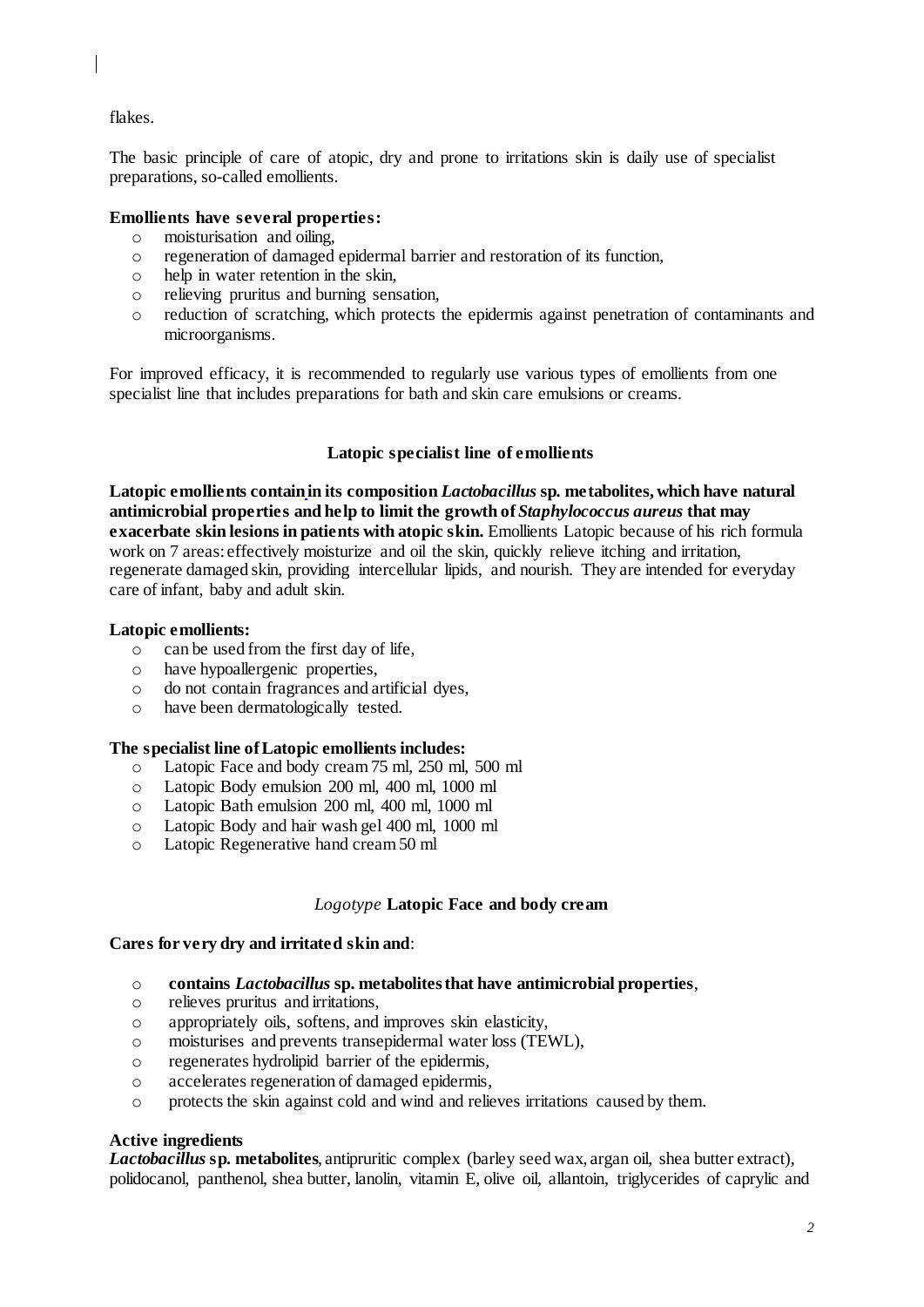flakes.

The basic principle of care of atopic, dry and prone to irritations skin is daily use of specialist preparations, so-called emollients.

# **Emollients have several properties:**

- o moisturisation and oiling,
- o regeneration of damaged epidermal barrier and restoration of its function,
- o help in water retention in the skin,
- o relieving pruritus and burning sensation,
- o reduction of scratching, which protects the epidermis against penetration of contaminants and microorganisms.

For improved efficacy, it is recommended to regularly use various types of emollients from one specialist line that includes preparations for bath and skin care emulsions or creams.

## **Latopic specialist line of emollients**

**Latopic emollients containin its composition** *Lactobacillus* **sp***.* **metabolites, which have natural antimicrobial properties and help to limit the growth of** *Staphylococcus aureus* **that may exacerbate skin lesions in patients with atopic skin.** Emollients Latopic because of his rich formula work on 7 areas: effectively moisturize and oil the skin, quickly relieve itching and irritation, regenerate damaged skin, providing intercellular lipids, and nourish. They are intended for everyday care of infant, baby and adult skin.

## **Latopic emollients:**

- o can be used from the first day of life,
- o have hypoallergenic properties,
- o do not contain fragrances and artificial dyes,
- o have been dermatologically tested.

## **The specialist line of Latopic emollients includes:**

- o Latopic Face and body cream 75 ml, 250 ml, 500 ml
- o Latopic Body emulsion 200 ml, 400 ml, 1000 ml
- o Latopic Bath emulsion 200 ml, 400 ml, 1000 ml
- o Latopic Body and hair wash gel 400 ml, 1000 ml
- o Latopic Regenerative hand cream 50 ml

## *Logotype* **Latopic Face and body cream**

## **Cares for very dry and irritated skin and**:

- o **contains** *Lactobacillus* **sp. metabolites that have antimicrobial properties**,
- o relieves pruritus and irritations,
- o appropriately oils, softens, and improves skin elasticity,
- o moisturises and prevents transepidermal water loss (TEWL),
- o regenerates hydrolipid barrier of the epidermis,
- o accelerates regeneration of damaged epidermis,
- o protects the skin against cold and wind and relieves irritations caused by them.

## **Active ingredients**

*Lactobacillus* **sp***.* **metabolites**, antipruritic complex (barley seed wax, argan oil, shea butter extract), polidocanol, panthenol, shea butter, lanolin, vitamin E, olive oil, allantoin, triglycerides of caprylic and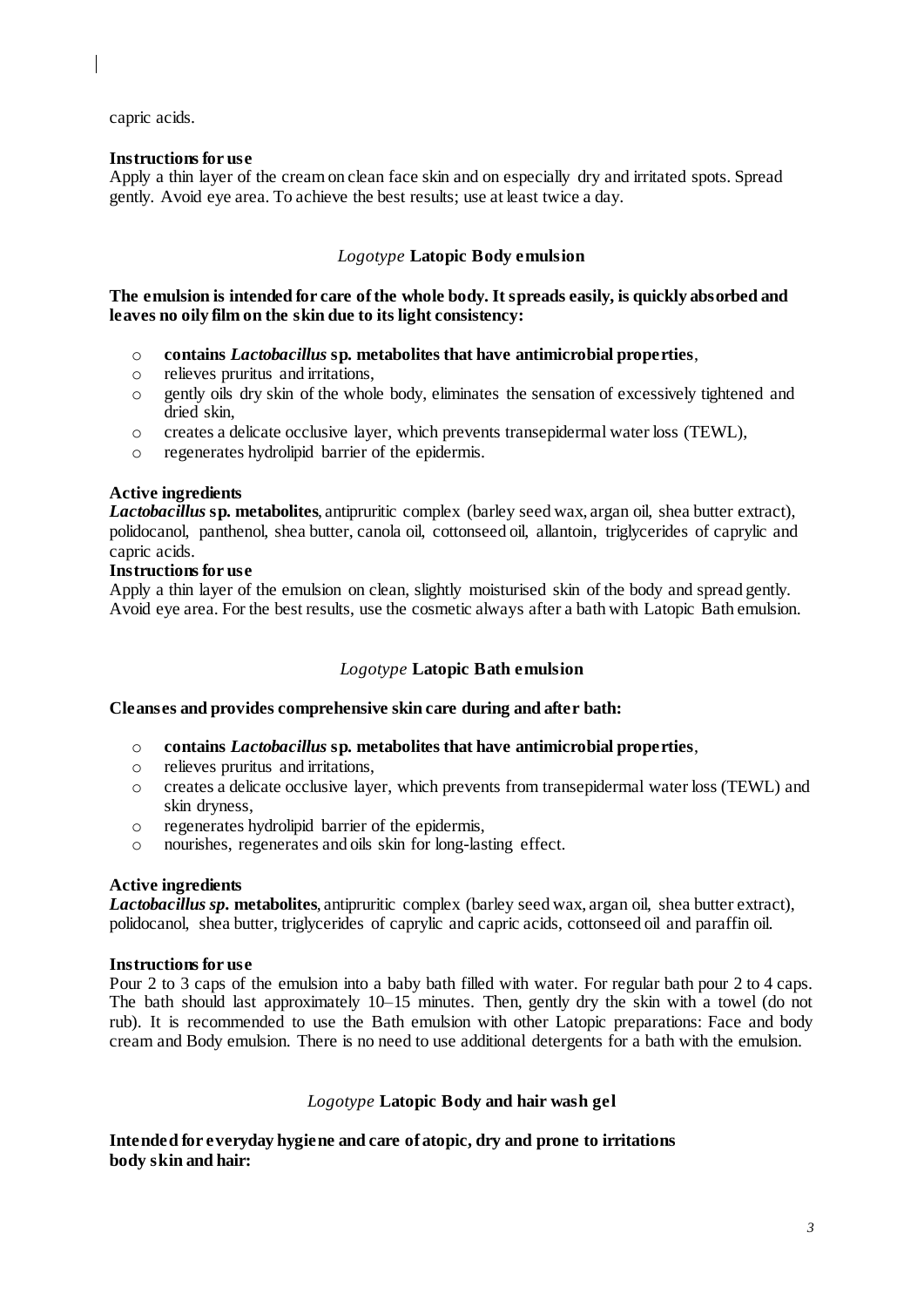capric acids.

## **Instructions for use**

Apply a thin layer of the cream on clean face skin and on especially dry and irritated spots. Spread gently. Avoid eye area. To achieve the best results; use at least twice a day.

# *Logotype* **Latopic Body emulsion**

**The emulsion is intended for care of the whole body. It spreads easily, is quickly absorbed and leaves no oily film on the skin due to its light consistency:**

- o **contains** *Lactobacillus* **sp***.* **metabolites that have antimicrobial properties**,
- o relieves pruritus and irritations,
- o gently oils dry skin of the whole body, eliminates the sensation of excessively tightened and dried skin,
- o creates a delicate occlusive layer, which prevents transepidermal water loss (TEWL),
- o regenerates hydrolipid barrier of the epidermis.

## **Active ingredients**

*Lactobacillus* **sp***.* **metabolites**, antipruritic complex (barley seed wax, argan oil, shea butter extract), polidocanol, panthenol, shea butter, canola oil, cottonseed oil, allantoin, triglycerides of caprylic and capric acids.

## **Instructions for use**

Apply a thin layer of the emulsion on clean, slightly moisturised skin of the body and spread gently. Avoid eye area. For the best results, use the cosmetic always after a bath with Latopic Bath emulsion.

# *Logotype* **Latopic Bath emulsion**

## **Cleanses and provides comprehensive skin care during and after bath:**

- o **contains** *Lactobacillus* **sp***.* **metabolites that have antimicrobial properties**,
- o relieves pruritus and irritations,
- o creates a delicate occlusive layer, which prevents from transepidermal water loss (TEWL) and skin dryness,
- o regenerates hydrolipid barrier of the epidermis,
- o nourishes, regenerates and oils skin for long-lasting effect.

## **Active ingredients**

*Lactobacillus sp.* **metabolites**, antipruritic complex (barley seed wax, argan oil, shea butter extract), polidocanol, shea butter, triglycerides of caprylic and capric acids, cottonseed oil and paraffin oil.

## **Instructions for use**

Pour 2 to 3 caps of the emulsion into a baby bath filled with water. For regular bath pour 2 to 4 caps. The bath should last approximately 10–15 minutes. Then, gently dry the skin with a towel (do not rub). It is recommended to use the Bath emulsion with other Latopic preparations: Face and body cream and Body emulsion. There is no need to use additional detergents for a bath with the emulsion.

# *Logotype* **Latopic Body and hair wash gel**

**Intended for everyday hygiene and care of atopic, dry and prone to irritations body skin and hair:**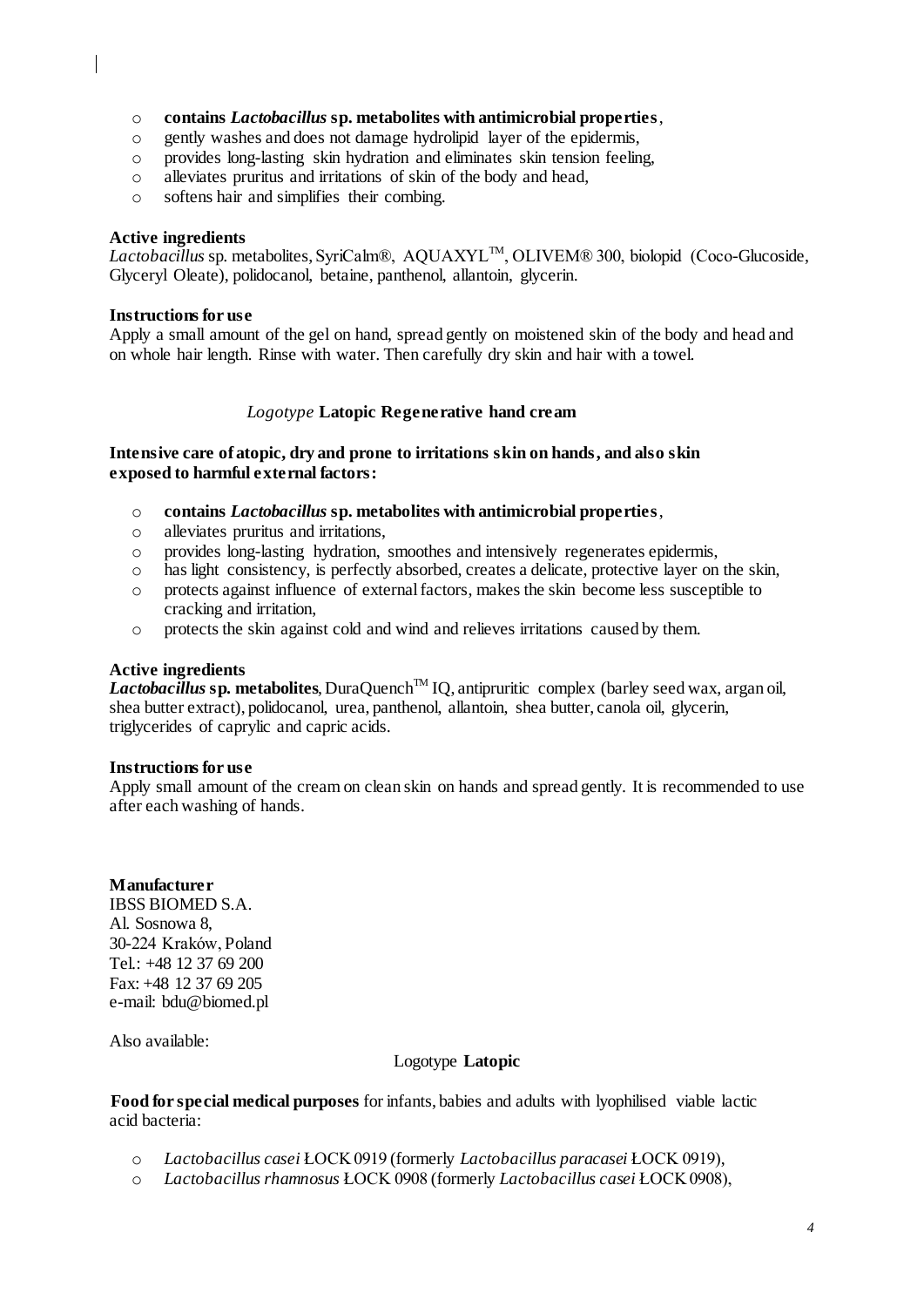- o **contains** *Lactobacillus* **sp. metabolites with antimicrobial properties**,
- o gently washes and does not damage hydrolipid layer of the epidermis,
- o provides long-lasting skin hydration and eliminates skin tension feeling,
- o alleviates pruritus and irritations of skin of the body and head,
- o softens hair and simplifies their combing.

#### **Active ingredients**

*Lactobacillus* sp. metabolites, SyriCalm®, AQUAXYL™, OLIVEM® 300, biolopid (Coco-Glucoside, Glyceryl Oleate), polidocanol, betaine, panthenol, allantoin, glycerin.

#### **Instructions for use**

Apply a small amount of the gel on hand, spread gently on moistened skin of the body and head and on whole hair length. Rinse with water. Then carefully dry skin and hair with a towel.

## *Logotype* **Latopic Regenerative hand cream**

## **Intensive care of atopic, dry and prone to irritations skin on hands, and also skin exposed to harmful external factors:**

- o **contains** *Lactobacillus* **sp. metabolites with antimicrobial properties**,
- o alleviates pruritus and irritations,
- o provides long-lasting hydration, smoothes and intensively regenerates epidermis,
- o has light consistency, is perfectly absorbed, creates a delicate, protective layer on the skin,
- o protects against influence of external factors, makes the skin become less susceptible to cracking and irritation,
- o protects the skin against cold and wind and relieves irritations caused by them.

## **Active ingredients**

*Lactobacillus* sp. metabolites, DuraQuench<sup>TM</sup> IQ, antipruritic complex (barley seed wax, argan oil, shea butter extract), polidocanol, urea, panthenol, allantoin, shea butter, canola oil, glycerin, triglycerides of caprylic and capric acids.

#### **Instructions for use**

Apply small amount of the cream on clean skin on hands and spread gently. It is recommended to use after each washing of hands.

## **Manufacturer**

IBSS BIOMED S.A. Al. Sosnowa 8, 30-224 Kraków, Poland Tel.: +48 12 37 69 200 Fax: +48 12 37 69 205 e-mail: bdu@biomed.pl

Also available:

## Logotype **Latopic**

**Food for special medical purposes** for infants, babies and adults with lyophilised viable lactic acid bacteria:

- o *Lactobacillus casei* ŁOCK 0919 (formerly *Lactobacillus paracasei* ŁOCK 0919),
- o *Lactobacillus rhamnosus* ŁOCK 0908 (formerly *Lactobacillus casei* ŁOCK 0908),